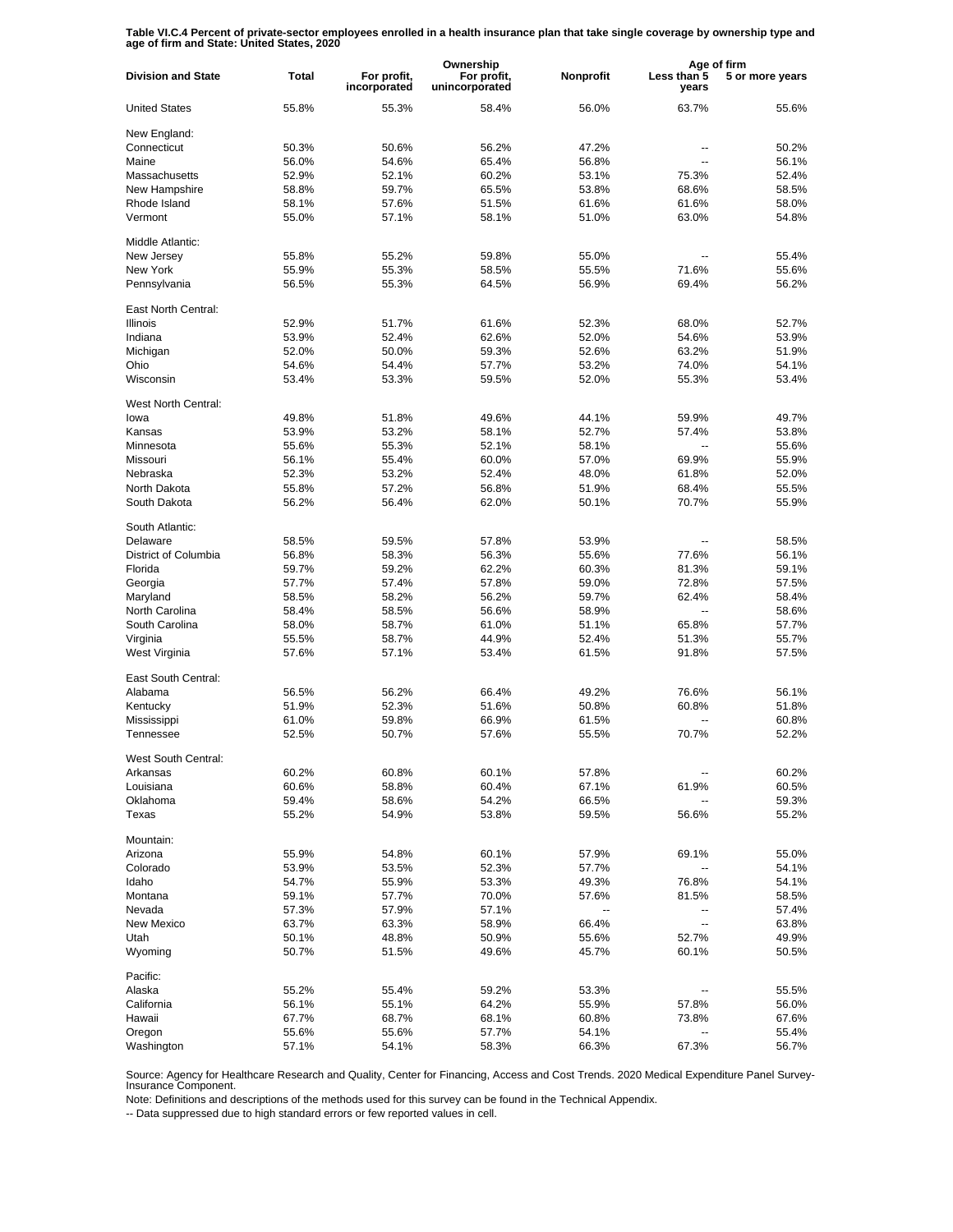**Table VI.C.4 Percent of private-sector employees enrolled in a health insurance plan that take single coverage by ownership type and age of firm and State: United States, 2020**

|                           |                |                             | Ownership                     |           | Age of firm          |                 |
|---------------------------|----------------|-----------------------------|-------------------------------|-----------|----------------------|-----------------|
| <b>Division and State</b> | Total          | For profit,<br>incorporated | For profit,<br>unincorporated | Nonprofit | Less than 5<br>years | 5 or more years |
| <b>United States</b>      | 55.8%          | 55.3%                       | 58.4%                         | 56.0%     | 63.7%                | 55.6%           |
| New England:              |                |                             |                               |           |                      |                 |
| Connecticut               | 50.3%          | 50.6%                       | 56.2%                         | 47.2%     |                      | 50.2%           |
| Maine                     | 56.0%          | 54.6%                       | 65.4%                         | 56.8%     | ۵.                   | 56.1%           |
| Massachusetts             | 52.9%          | 52.1%                       | 60.2%                         | 53.1%     | 75.3%                | 52.4%           |
| New Hampshire             | 58.8%          | 59.7%                       | 65.5%                         | 53.8%     | 68.6%                | 58.5%           |
| Rhode Island              | 58.1%          | 57.6%                       | 51.5%                         | 61.6%     | 61.6%                | 58.0%           |
| Vermont                   | 55.0%          | 57.1%                       | 58.1%                         | 51.0%     | 63.0%                | 54.8%           |
| Middle Atlantic:          |                |                             |                               |           |                      |                 |
| New Jersey                | 55.8%          | 55.2%                       | 59.8%                         | 55.0%     |                      | 55.4%           |
| New York                  | 55.9%          | 55.3%                       | 58.5%                         | 55.5%     | 71.6%                | 55.6%           |
| Pennsylvania              | 56.5%          | 55.3%                       | 64.5%                         | 56.9%     | 69.4%                | 56.2%           |
|                           |                |                             |                               |           |                      |                 |
| East North Central:       |                |                             |                               |           |                      |                 |
| <b>Illinois</b>           | 52.9%          | 51.7%                       | 61.6%                         | 52.3%     | 68.0%                | 52.7%           |
| Indiana                   | 53.9%          | 52.4%                       | 62.6%                         | 52.0%     | 54.6%                | 53.9%           |
| Michigan                  | 52.0%          | 50.0%                       | 59.3%                         | 52.6%     | 63.2%                | 51.9%           |
| Ohio                      | 54.6%          | 54.4%                       | 57.7%                         | 53.2%     | 74.0%                | 54.1%           |
| Wisconsin                 | 53.4%          | 53.3%                       | 59.5%                         | 52.0%     | 55.3%                | 53.4%           |
| West North Central:       |                |                             |                               |           |                      |                 |
| lowa                      | 49.8%          | 51.8%                       | 49.6%                         | 44.1%     | 59.9%                | 49.7%           |
|                           |                |                             |                               |           |                      |                 |
| Kansas                    | 53.9%          | 53.2%                       | 58.1%                         | 52.7%     | 57.4%                | 53.8%           |
| Minnesota                 | 55.6%          | 55.3%                       | 52.1%                         | 58.1%     |                      | 55.6%           |
| Missouri                  | 56.1%          | 55.4%                       | 60.0%                         | 57.0%     | 69.9%                | 55.9%           |
| Nebraska                  | 52.3%          | 53.2%                       | 52.4%                         | 48.0%     | 61.8%                | 52.0%           |
| North Dakota              | 55.8%          | 57.2%                       | 56.8%                         | 51.9%     | 68.4%                | 55.5%           |
| South Dakota              | 56.2%          | 56.4%                       | 62.0%                         | 50.1%     | 70.7%                | 55.9%           |
| South Atlantic:           |                |                             |                               |           |                      |                 |
| Delaware                  | 58.5%          | 59.5%                       | 57.8%                         | 53.9%     | $\overline{a}$       | 58.5%           |
| District of Columbia      | 56.8%          | 58.3%                       | 56.3%                         | 55.6%     | 77.6%                | 56.1%           |
| Florida                   | 59.7%          | 59.2%                       | 62.2%                         | 60.3%     | 81.3%                | 59.1%           |
| Georgia                   | 57.7%          | 57.4%                       | 57.8%                         | 59.0%     | 72.8%                | 57.5%           |
| Maryland                  | 58.5%          | 58.2%                       | 56.2%                         | 59.7%     | 62.4%                | 58.4%           |
| North Carolina            |                |                             | 56.6%                         |           | $\overline{a}$       |                 |
|                           | 58.4%          | 58.5%                       |                               | 58.9%     |                      | 58.6%           |
| South Carolina            | 58.0%          | 58.7%                       | 61.0%                         | 51.1%     | 65.8%                | 57.7%           |
| Virginia                  | 55.5%          | 58.7%                       | 44.9%                         | 52.4%     | 51.3%                | 55.7%           |
| West Virginia             | 57.6%          | 57.1%                       | 53.4%                         | 61.5%     | 91.8%                | 57.5%           |
| East South Central:       |                |                             |                               |           |                      |                 |
| Alabama                   | 56.5%          | 56.2%                       | 66.4%                         | 49.2%     | 76.6%                | 56.1%           |
| Kentucky                  | 51.9%          | 52.3%                       | 51.6%                         | 50.8%     | 60.8%                | 51.8%           |
| Mississippi               | 61.0%          | 59.8%                       | 66.9%                         | 61.5%     | Ξ.                   | 60.8%           |
| Tennessee                 | 52.5%          | 50.7%                       | 57.6%                         | 55.5%     | 70.7%                | 52.2%           |
| West South Central:       |                |                             |                               |           |                      |                 |
| Arkansas                  | 60.2%          | 60.8%                       | 60.1%                         | 57.8%     |                      | 60.2%           |
| Louisiana                 | 60.6%          | 58.8%                       | 60.4%                         | 67.1%     | 61.9%                | 60.5%           |
| Oklahoma                  | 59.4%          | 58.6%                       | 54.2%                         | 66.5%     |                      | 59.3%           |
| Texas                     | 55.2%          | 54.9%                       | 53.8%                         | 59.5%     | 56.6%                | 55.2%           |
| Mountain:                 |                |                             |                               |           |                      |                 |
| Arizona                   | 55.9%          | 54.8%                       | 60.1%                         | 57.9%     | 69.1%                | 55.0%           |
|                           |                |                             |                               |           |                      |                 |
| Colorado<br>Idaho         | 53.9%<br>54.7% | 53.5%                       | 52.3%                         | 57.7%     | --                   | 54.1%           |
|                           |                | 55.9%                       | 53.3%                         | 49.3%     | 76.8%                | 54.1%           |
| Montana                   | 59.1%          | 57.7%                       | 70.0%                         | 57.6%     | 81.5%                | 58.5%           |
| Nevada                    | 57.3%          | 57.9%                       | 57.1%                         | ۰.        | --                   | 57.4%           |
| New Mexico                | 63.7%          | 63.3%                       | 58.9%                         | 66.4%     | --                   | 63.8%           |
| Utah                      | 50.1%          | 48.8%                       | 50.9%                         | 55.6%     | 52.7%                | 49.9%           |
| Wyoming                   | 50.7%          | 51.5%                       | 49.6%                         | 45.7%     | 60.1%                | 50.5%           |
| Pacific:                  |                |                             |                               |           |                      |                 |
| Alaska                    | 55.2%          | 55.4%                       | 59.2%                         | 53.3%     |                      | 55.5%           |
| California                | 56.1%          | 55.1%                       | 64.2%                         | 55.9%     | 57.8%                | 56.0%           |
| Hawaii                    | 67.7%          | 68.7%                       | 68.1%                         | 60.8%     | 73.8%                | 67.6%           |
| Oregon                    | 55.6%          | 55.6%                       | 57.7%                         | 54.1%     |                      | 55.4%           |
| Washington                | 57.1%          | 54.1%                       | 58.3%                         | 66.3%     | 67.3%                | 56.7%           |
|                           |                |                             |                               |           |                      |                 |

Source: Agency for Healthcare Research and Quality, Center for Financing, Access and Cost Trends. 2020 Medical Expenditure Panel Survey-Insurance Component.

Note: Definitions and descriptions of the methods used for this survey can be found in the Technical Appendix.

-- Data suppressed due to high standard errors or few reported values in cell.